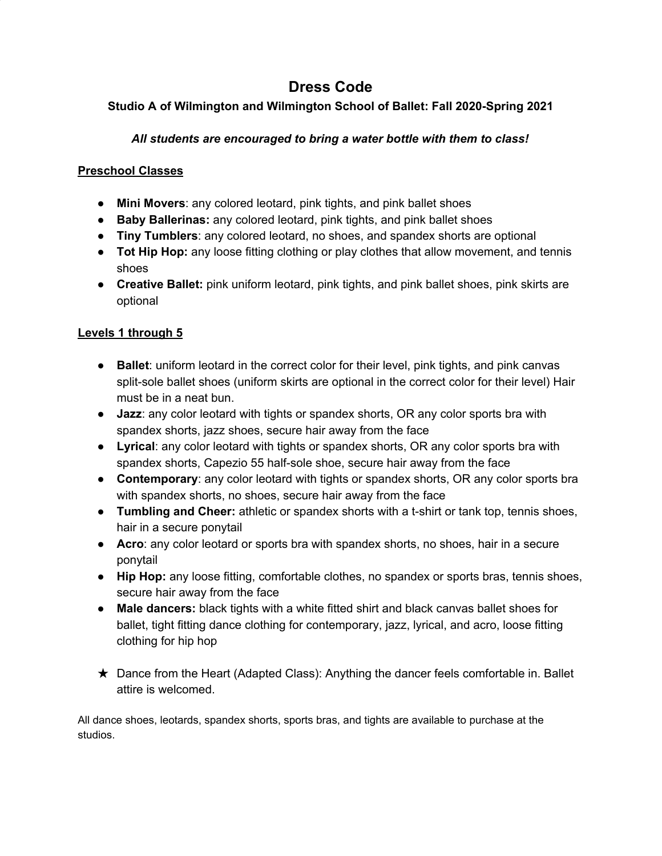# **Dress Code**

## **Studio A of Wilmington and Wilmington School of Ballet: Fall 2020-Spring 2021**

## *All students are encouraged to bring a water bottle with them to class!*

#### **Preschool Classes**

- **Mini Movers**: any colored leotard, pink tights, and pink ballet shoes
- **Baby Ballerinas:** any colored leotard, pink tights, and pink ballet shoes
- **Tiny Tumblers**: any colored leotard, no shoes, and spandex shorts are optional
- **Tot Hip Hop:** any loose fitting clothing or play clothes that allow movement, and tennis shoes
- **Creative Ballet:** pink uniform leotard, pink tights, and pink ballet shoes, pink skirts are optional

#### **Levels 1 through 5**

- **Ballet**: uniform leotard in the correct color for their level, pink tights, and pink canvas split-sole ballet shoes (uniform skirts are optional in the correct color for their level) Hair must be in a neat bun.
- **Jazz**: any color leotard with tights or spandex shorts, OR any color sports bra with spandex shorts, jazz shoes, secure hair away from the face
- **Lyrical**: any color leotard with tights or spandex shorts, OR any color sports bra with spandex shorts, Capezio 55 half-sole shoe, secure hair away from the face
- **Contemporary**: any color leotard with tights or spandex shorts, OR any color sports bra with spandex shorts, no shoes, secure hair away from the face
- **Tumbling and Cheer:** athletic or spandex shorts with a t-shirt or tank top, tennis shoes, hair in a secure ponytail
- **Acro**: any color leotard or sports bra with spandex shorts, no shoes, hair in a secure ponytail
- **Hip Hop:** any loose fitting, comfortable clothes, no spandex or sports bras, tennis shoes, secure hair away from the face
- **Male dancers:** black tights with a white fitted shirt and black canvas ballet shoes for ballet, tight fitting dance clothing for contemporary, jazz, lyrical, and acro, loose fitting clothing for hip hop
- ★ Dance from the Heart (Adapted Class): Anything the dancer feels comfortable in. Ballet attire is welcomed.

All dance shoes, leotards, spandex shorts, sports bras, and tights are available to purchase at the studios.